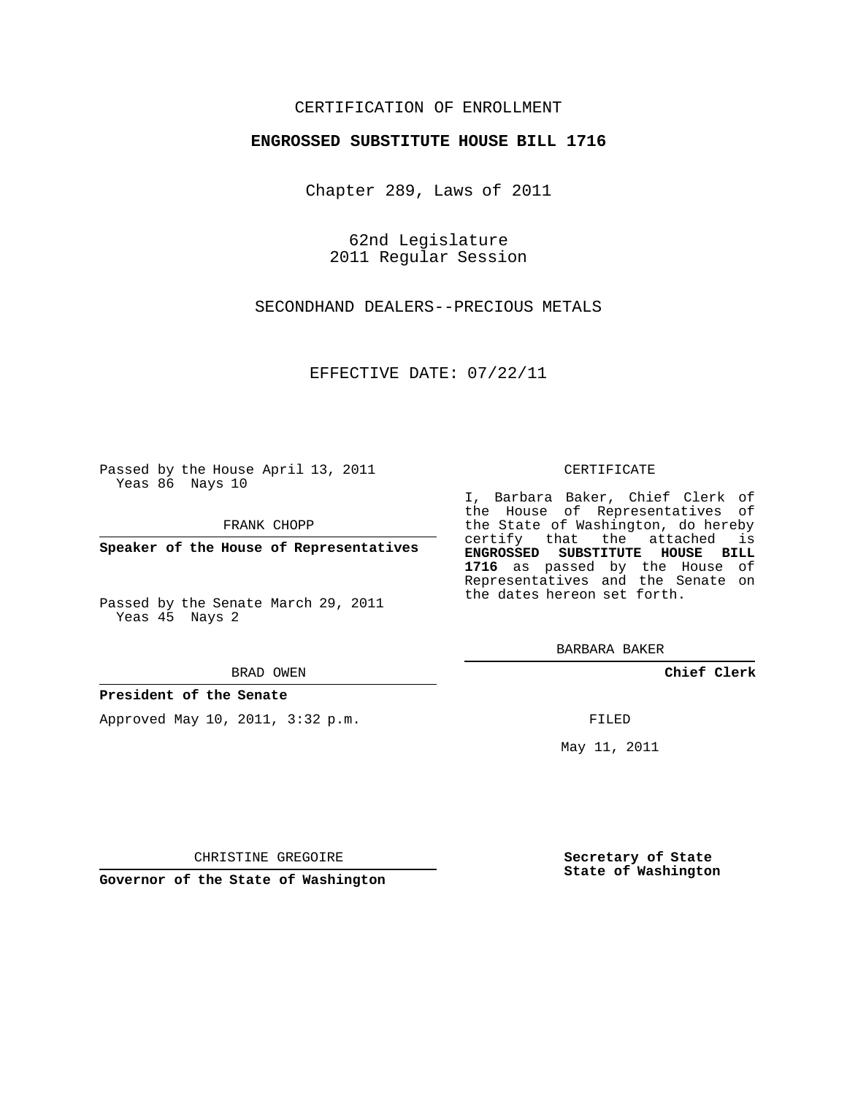### CERTIFICATION OF ENROLLMENT

### **ENGROSSED SUBSTITUTE HOUSE BILL 1716**

Chapter 289, Laws of 2011

62nd Legislature 2011 Regular Session

SECONDHAND DEALERS--PRECIOUS METALS

EFFECTIVE DATE: 07/22/11

Passed by the House April 13, 2011 Yeas 86 Nays 10

FRANK CHOPP

**Speaker of the House of Representatives**

Passed by the Senate March 29, 2011 Yeas 45 Nays 2

#### BRAD OWEN

#### **President of the Senate**

Approved May 10, 2011, 3:32 p.m.

#### CERTIFICATE

I, Barbara Baker, Chief Clerk of the House of Representatives of the State of Washington, do hereby certify that the attached is **ENGROSSED SUBSTITUTE HOUSE BILL 1716** as passed by the House of Representatives and the Senate on the dates hereon set forth.

BARBARA BAKER

**Chief Clerk**

FILED

May 11, 2011

CHRISTINE GREGOIRE

**Governor of the State of Washington**

**Secretary of State State of Washington**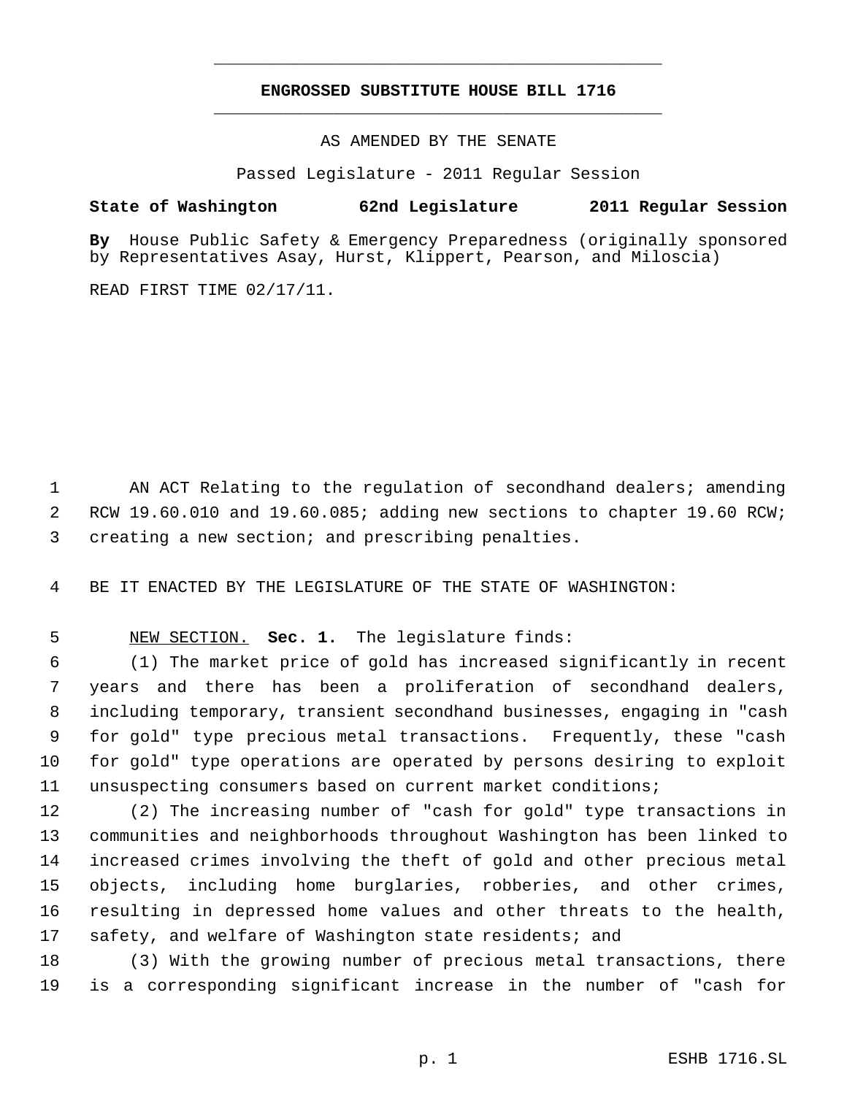# **ENGROSSED SUBSTITUTE HOUSE BILL 1716** \_\_\_\_\_\_\_\_\_\_\_\_\_\_\_\_\_\_\_\_\_\_\_\_\_\_\_\_\_\_\_\_\_\_\_\_\_\_\_\_\_\_\_\_\_

\_\_\_\_\_\_\_\_\_\_\_\_\_\_\_\_\_\_\_\_\_\_\_\_\_\_\_\_\_\_\_\_\_\_\_\_\_\_\_\_\_\_\_\_\_

AS AMENDED BY THE SENATE

Passed Legislature - 2011 Regular Session

### **State of Washington 62nd Legislature 2011 Regular Session**

**By** House Public Safety & Emergency Preparedness (originally sponsored by Representatives Asay, Hurst, Klippert, Pearson, and Miloscia)

READ FIRST TIME 02/17/11.

1 AN ACT Relating to the regulation of secondhand dealers; amending RCW 19.60.010 and 19.60.085; adding new sections to chapter 19.60 RCW; creating a new section; and prescribing penalties.

BE IT ENACTED BY THE LEGISLATURE OF THE STATE OF WASHINGTON:

## NEW SECTION. **Sec. 1.** The legislature finds:

 (1) The market price of gold has increased significantly in recent years and there has been a proliferation of secondhand dealers, including temporary, transient secondhand businesses, engaging in "cash for gold" type precious metal transactions. Frequently, these "cash for gold" type operations are operated by persons desiring to exploit unsuspecting consumers based on current market conditions;

 (2) The increasing number of "cash for gold" type transactions in communities and neighborhoods throughout Washington has been linked to increased crimes involving the theft of gold and other precious metal objects, including home burglaries, robberies, and other crimes, resulting in depressed home values and other threats to the health, safety, and welfare of Washington state residents; and

 (3) With the growing number of precious metal transactions, there is a corresponding significant increase in the number of "cash for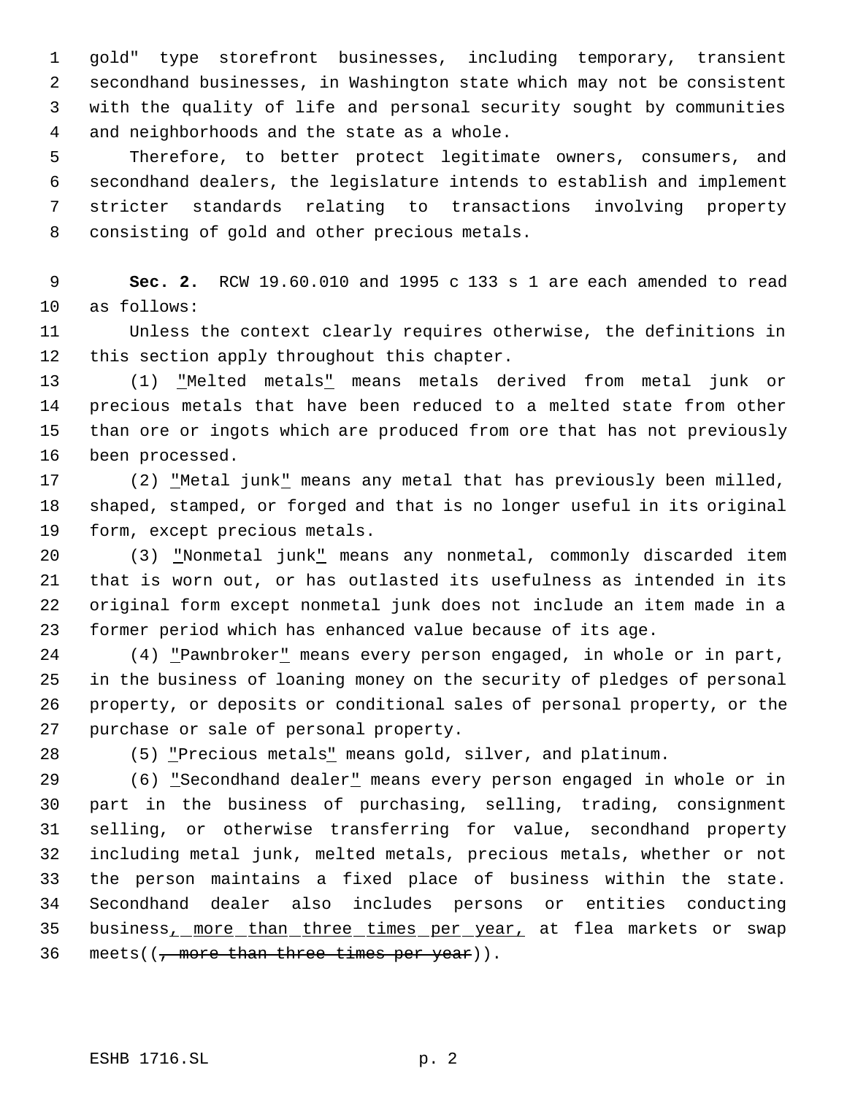gold" type storefront businesses, including temporary, transient secondhand businesses, in Washington state which may not be consistent with the quality of life and personal security sought by communities and neighborhoods and the state as a whole.

 Therefore, to better protect legitimate owners, consumers, and secondhand dealers, the legislature intends to establish and implement stricter standards relating to transactions involving property consisting of gold and other precious metals.

 **Sec. 2.** RCW 19.60.010 and 1995 c 133 s 1 are each amended to read as follows:

 Unless the context clearly requires otherwise, the definitions in this section apply throughout this chapter.

 (1) "Melted metals" means metals derived from metal junk or precious metals that have been reduced to a melted state from other than ore or ingots which are produced from ore that has not previously been processed.

17 (2) "Metal junk" means any metal that has previously been milled, shaped, stamped, or forged and that is no longer useful in its original form, except precious metals.

 (3) "Nonmetal junk" means any nonmetal, commonly discarded item that is worn out, or has outlasted its usefulness as intended in its original form except nonmetal junk does not include an item made in a former period which has enhanced value because of its age.

24 (4) "Pawnbroker" means every person engaged, in whole or in part, in the business of loaning money on the security of pledges of personal property, or deposits or conditional sales of personal property, or the purchase or sale of personal property.

(5) "Precious metals" means gold, silver, and platinum.

29 (6) "Secondhand dealer" means every person engaged in whole or in part in the business of purchasing, selling, trading, consignment selling, or otherwise transferring for value, secondhand property including metal junk, melted metals, precious metals, whether or not the person maintains a fixed place of business within the state. Secondhand dealer also includes persons or entities conducting 35 business, more than three times per year, at flea markets or swap 36 meets( $\left(\frac{1}{2} + \frac{1}{2} + \frac{1}{2} + \frac{1}{2} + \frac{1}{2} + \frac{1}{2} + \frac{1}{2} + \frac{1}{2} + \frac{1}{2} + \frac{1}{2} + \frac{1}{2} + \frac{1}{2} + \frac{1}{2} + \frac{1}{2} + \frac{1}{2} + \frac{1}{2} + \frac{1}{2} + \frac{1}{2} + \frac{1}{2} + \frac{1}{2} + \frac{1}{2} + \frac{1}{2} + \frac{1}{2} + \frac{1}{2} + \frac{1}{2} + \frac{1}{2} + \$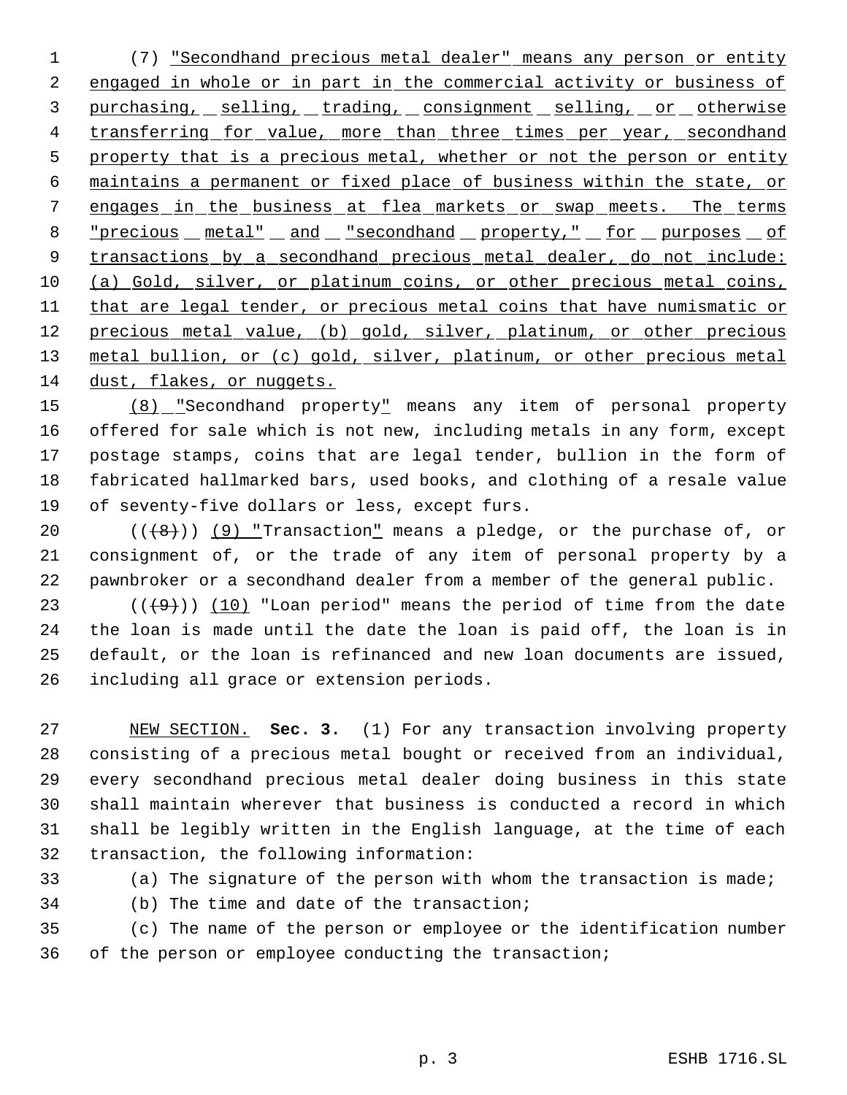(7) "Secondhand precious metal dealer" means any person or entity 2 engaged in whole or in part in the commercial activity or business of 3 purchasing, selling, trading, consignment selling, or otherwise 4 transferring for value, more than three times per year, secondhand 5 property that is a precious metal, whether or not the person or entity maintains a permanent or fixed place of business within the state, or engages in the business at flea markets or swap meets. The terms "precious metal" and "secondhand property," for purposes of 9 transactions by a secondhand precious metal dealer, do not include: (a) Gold, silver, or platinum coins, or other precious metal coins, 11 that are legal tender, or precious metal coins that have numismatic or 12 precious metal value, (b) gold, silver, platinum, or other precious metal bullion, or (c) gold, silver, platinum, or other precious metal 14 dust, flakes, or nuggets.

 (8) "Secondhand property" means any item of personal property offered for sale which is not new, including metals in any form, except postage stamps, coins that are legal tender, bullion in the form of fabricated hallmarked bars, used books, and clothing of a resale value of seventy-five dollars or less, except furs.

20  $((+8))$  (9) "Transaction" means a pledge, or the purchase of, or consignment of, or the trade of any item of personal property by a pawnbroker or a secondhand dealer from a member of the general public.

23 ( $(\frac{49}{})$ ) (10) "Loan period" means the period of time from the date the loan is made until the date the loan is paid off, the loan is in default, or the loan is refinanced and new loan documents are issued, including all grace or extension periods.

 NEW SECTION. **Sec. 3.** (1) For any transaction involving property consisting of a precious metal bought or received from an individual, every secondhand precious metal dealer doing business in this state shall maintain wherever that business is conducted a record in which shall be legibly written in the English language, at the time of each transaction, the following information:

(a) The signature of the person with whom the transaction is made;

(b) The time and date of the transaction;

 (c) The name of the person or employee or the identification number of the person or employee conducting the transaction;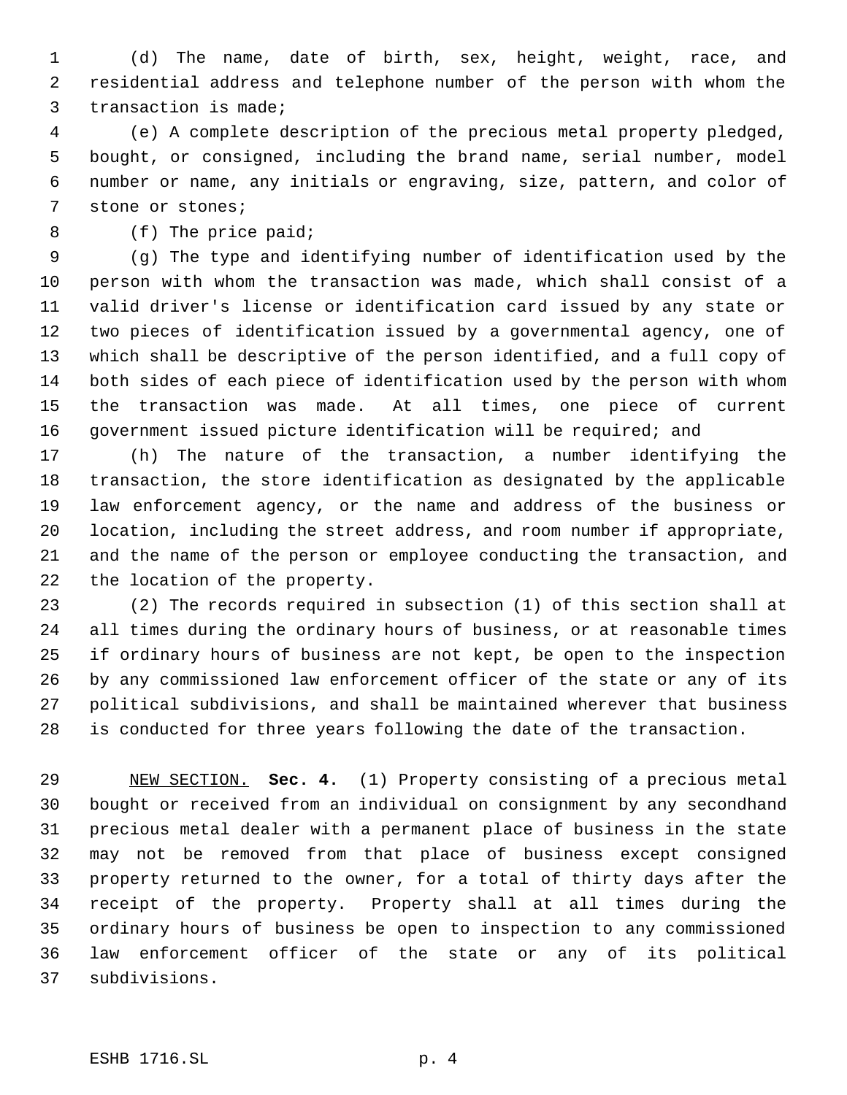(d) The name, date of birth, sex, height, weight, race, and residential address and telephone number of the person with whom the transaction is made;

 (e) A complete description of the precious metal property pledged, bought, or consigned, including the brand name, serial number, model number or name, any initials or engraving, size, pattern, and color of stone or stones;

(f) The price paid;

 (g) The type and identifying number of identification used by the person with whom the transaction was made, which shall consist of a valid driver's license or identification card issued by any state or two pieces of identification issued by a governmental agency, one of which shall be descriptive of the person identified, and a full copy of both sides of each piece of identification used by the person with whom the transaction was made. At all times, one piece of current government issued picture identification will be required; and

 (h) The nature of the transaction, a number identifying the transaction, the store identification as designated by the applicable law enforcement agency, or the name and address of the business or location, including the street address, and room number if appropriate, and the name of the person or employee conducting the transaction, and the location of the property.

 (2) The records required in subsection (1) of this section shall at all times during the ordinary hours of business, or at reasonable times if ordinary hours of business are not kept, be open to the inspection by any commissioned law enforcement officer of the state or any of its political subdivisions, and shall be maintained wherever that business is conducted for three years following the date of the transaction.

 NEW SECTION. **Sec. 4.** (1) Property consisting of a precious metal bought or received from an individual on consignment by any secondhand precious metal dealer with a permanent place of business in the state may not be removed from that place of business except consigned property returned to the owner, for a total of thirty days after the receipt of the property. Property shall at all times during the ordinary hours of business be open to inspection to any commissioned law enforcement officer of the state or any of its political subdivisions.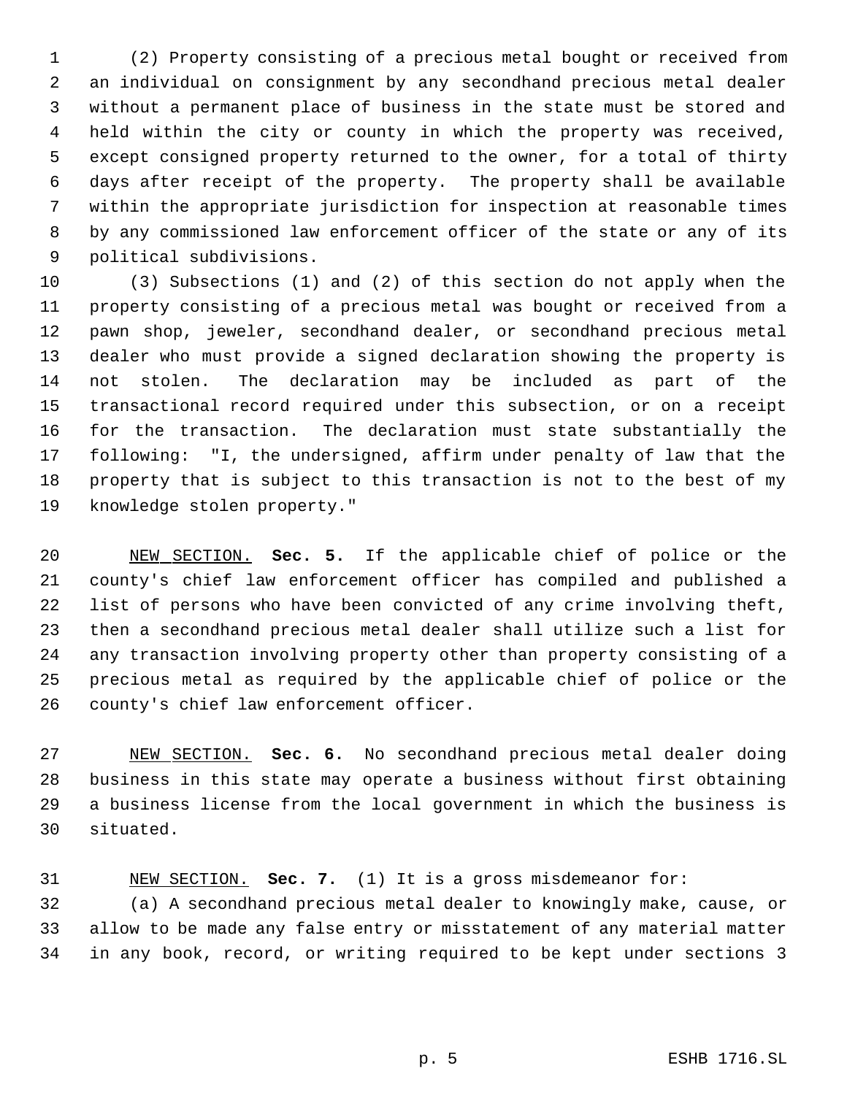(2) Property consisting of a precious metal bought or received from an individual on consignment by any secondhand precious metal dealer without a permanent place of business in the state must be stored and held within the city or county in which the property was received, except consigned property returned to the owner, for a total of thirty days after receipt of the property. The property shall be available within the appropriate jurisdiction for inspection at reasonable times by any commissioned law enforcement officer of the state or any of its political subdivisions.

 (3) Subsections (1) and (2) of this section do not apply when the property consisting of a precious metal was bought or received from a pawn shop, jeweler, secondhand dealer, or secondhand precious metal dealer who must provide a signed declaration showing the property is not stolen. The declaration may be included as part of the transactional record required under this subsection, or on a receipt for the transaction. The declaration must state substantially the following: "I, the undersigned, affirm under penalty of law that the property that is subject to this transaction is not to the best of my knowledge stolen property."

 NEW SECTION. **Sec. 5.** If the applicable chief of police or the county's chief law enforcement officer has compiled and published a list of persons who have been convicted of any crime involving theft, then a secondhand precious metal dealer shall utilize such a list for any transaction involving property other than property consisting of a precious metal as required by the applicable chief of police or the county's chief law enforcement officer.

 NEW SECTION. **Sec. 6.** No secondhand precious metal dealer doing business in this state may operate a business without first obtaining a business license from the local government in which the business is situated.

 NEW SECTION. **Sec. 7.** (1) It is a gross misdemeanor for: (a) A secondhand precious metal dealer to knowingly make, cause, or allow to be made any false entry or misstatement of any material matter in any book, record, or writing required to be kept under sections 3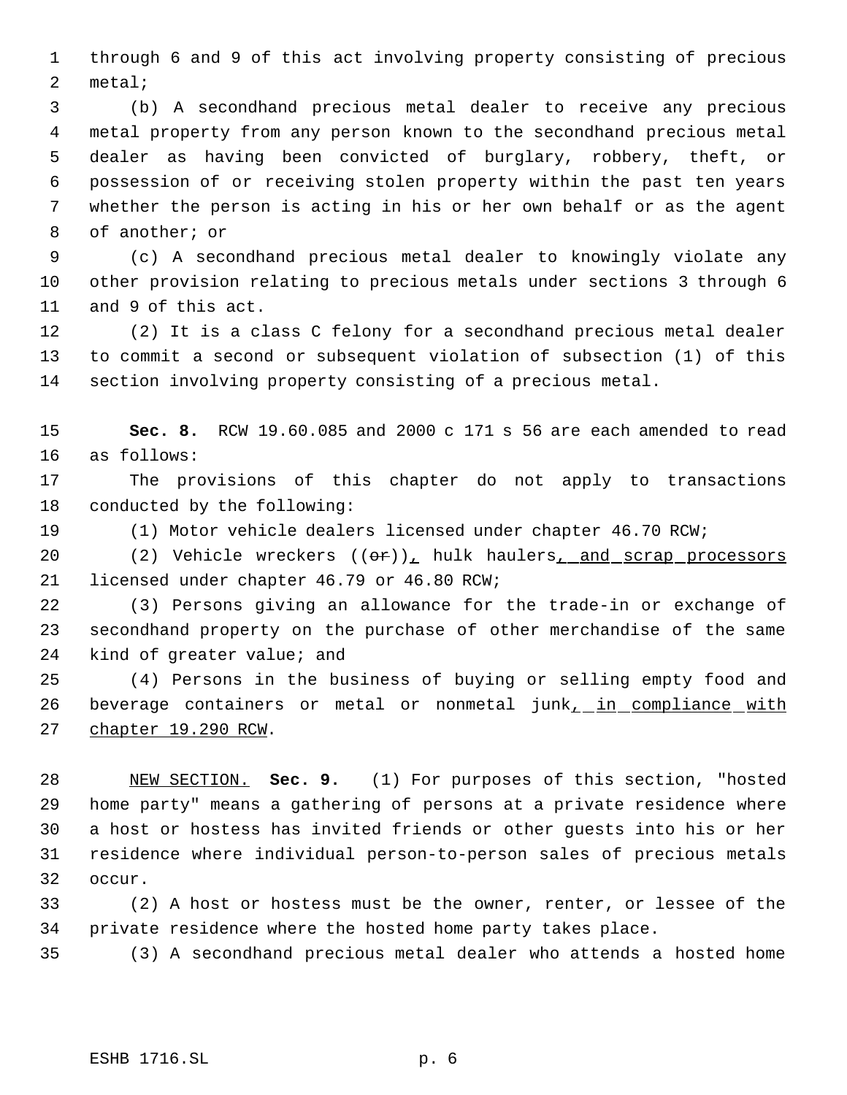through 6 and 9 of this act involving property consisting of precious metal;

 (b) A secondhand precious metal dealer to receive any precious metal property from any person known to the secondhand precious metal dealer as having been convicted of burglary, robbery, theft, or possession of or receiving stolen property within the past ten years whether the person is acting in his or her own behalf or as the agent of another; or

 (c) A secondhand precious metal dealer to knowingly violate any other provision relating to precious metals under sections 3 through 6 and 9 of this act.

 (2) It is a class C felony for a secondhand precious metal dealer to commit a second or subsequent violation of subsection (1) of this section involving property consisting of a precious metal.

 **Sec. 8.** RCW 19.60.085 and 2000 c 171 s 56 are each amended to read as follows:

 The provisions of this chapter do not apply to transactions conducted by the following:

(1) Motor vehicle dealers licensed under chapter 46.70 RCW;

20 (2) Vehicle wreckers  $((\theta \cdot \mathbf{r}))$ , hulk haulers, and scrap processors licensed under chapter 46.79 or 46.80 RCW;

 (3) Persons giving an allowance for the trade-in or exchange of secondhand property on the purchase of other merchandise of the same kind of greater value; and

 (4) Persons in the business of buying or selling empty food and 26 beverage containers or metal or nonmetal junk<sub>1</sub> in compliance with chapter 19.290 RCW.

 NEW SECTION. **Sec. 9.** (1) For purposes of this section, "hosted home party" means a gathering of persons at a private residence where a host or hostess has invited friends or other guests into his or her residence where individual person-to-person sales of precious metals occur.

 (2) A host or hostess must be the owner, renter, or lessee of the private residence where the hosted home party takes place.

(3) A secondhand precious metal dealer who attends a hosted home